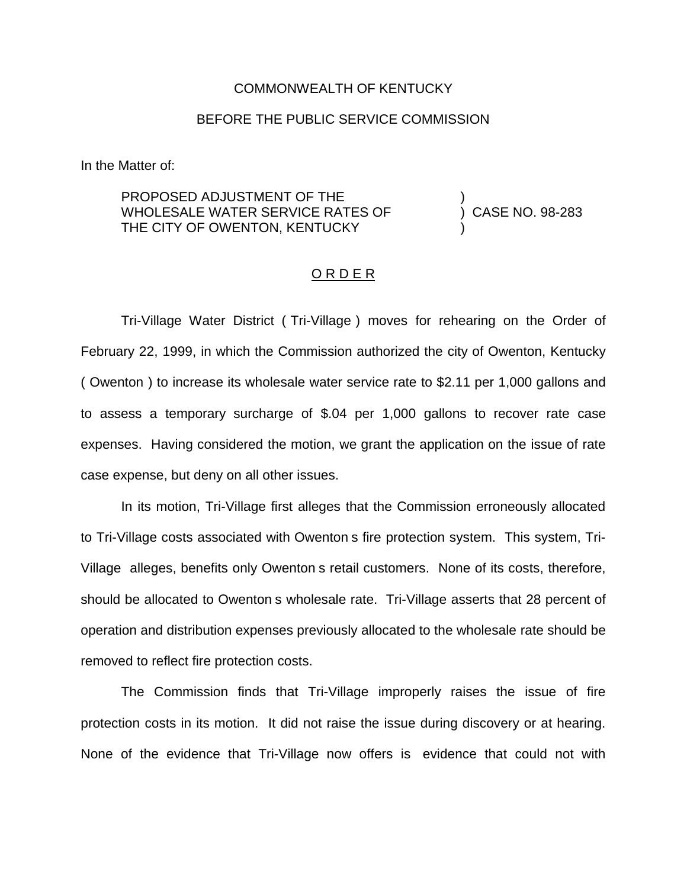#### COMMONWEALTH OF KENTUCKY

### BEFORE THE PUBLIC SERVICE COMMISSION

In the Matter of:

PROPOSED ADJUSTMENT OF THE WHOLESALE WATER SERVICE RATES OF THE CITY OF OWENTON, KENTUCKY

) CASE NO. 98-283

)

)

#### O R D E R

Tri-Village Water District ( Tri-Village ) moves for rehearing on the Order of February 22, 1999, in which the Commission authorized the city of Owenton, Kentucky ( Owenton ) to increase its wholesale water service rate to \$2.11 per 1,000 gallons and to assess a temporary surcharge of \$.04 per 1,000 gallons to recover rate case expenses. Having considered the motion, we grant the application on the issue of rate case expense, but deny on all other issues.

In its motion, Tri-Village first alleges that the Commission erroneously allocated to Tri-Village costs associated with Owenton s fire protection system. This system, Tri-Village alleges, benefits only Owenton s retail customers. None of its costs, therefore, should be allocated to Owenton s wholesale rate. Tri-Village asserts that 28 percent of operation and distribution expenses previously allocated to the wholesale rate should be removed to reflect fire protection costs.

The Commission finds that Tri-Village improperly raises the issue of fire protection costs in its motion. It did not raise the issue during discovery or at hearing. None of the evidence that Tri-Village now offers is evidence that could not with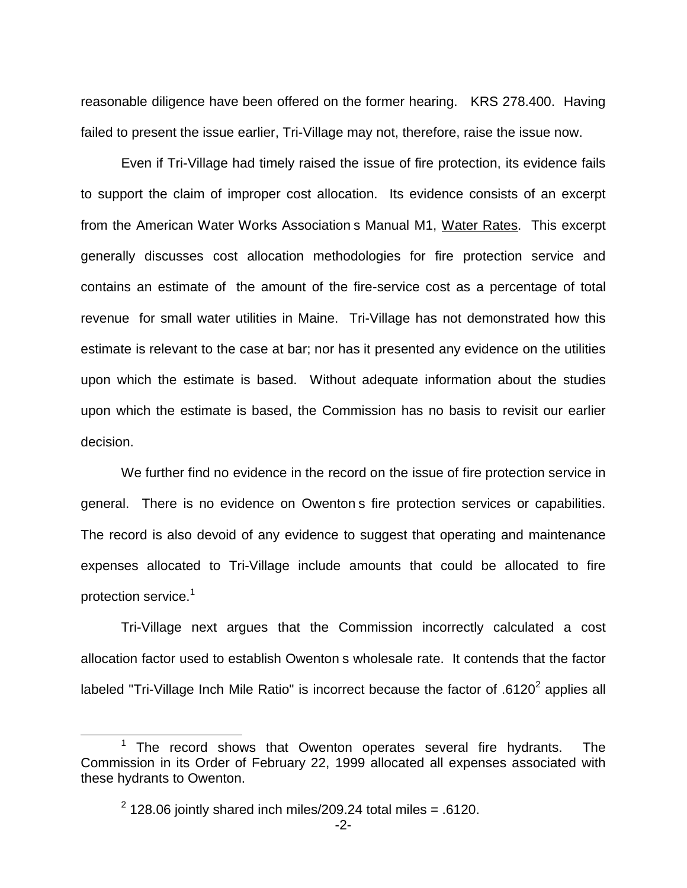reasonable diligence have been offered on the former hearing. KRS 278.400. Having failed to present the issue earlier, Tri-Village may not, therefore, raise the issue now.

Even if Tri-Village had timely raised the issue of fire protection, its evidence fails to support the claim of improper cost allocation. Its evidence consists of an excerpt from the American Water Works Association s Manual M1, Water Rates. This excerpt generally discusses cost allocation methodologies for fire protection service and contains an estimate of the amount of the fire-service cost as a percentage of total revenue for small water utilities in Maine. Tri-Village has not demonstrated how this estimate is relevant to the case at bar; nor has it presented any evidence on the utilities upon which the estimate is based. Without adequate information about the studies upon which the estimate is based, the Commission has no basis to revisit our earlier decision.

We further find no evidence in the record on the issue of fire protection service in general. There is no evidence on Owenton s fire protection services or capabilities. The record is also devoid of any evidence to suggest that operating and maintenance expenses allocated to Tri-Village include amounts that could be allocated to fire protection service.<sup>1</sup>

Tri-Village next argues that the Commission incorrectly calculated a cost allocation factor used to establish Owenton s wholesale rate. It contends that the factor labeled "Tri-Village Inch Mile Ratio" is incorrect because the factor of .6120<sup>2</sup> applies all

The record shows that Owenton operates several fire hydrants. The Commission in its Order of February 22, 1999 allocated all expenses associated with these hydrants to Owenton.

 $2$  128.06 jointly shared inch miles/209.24 total miles = .6120.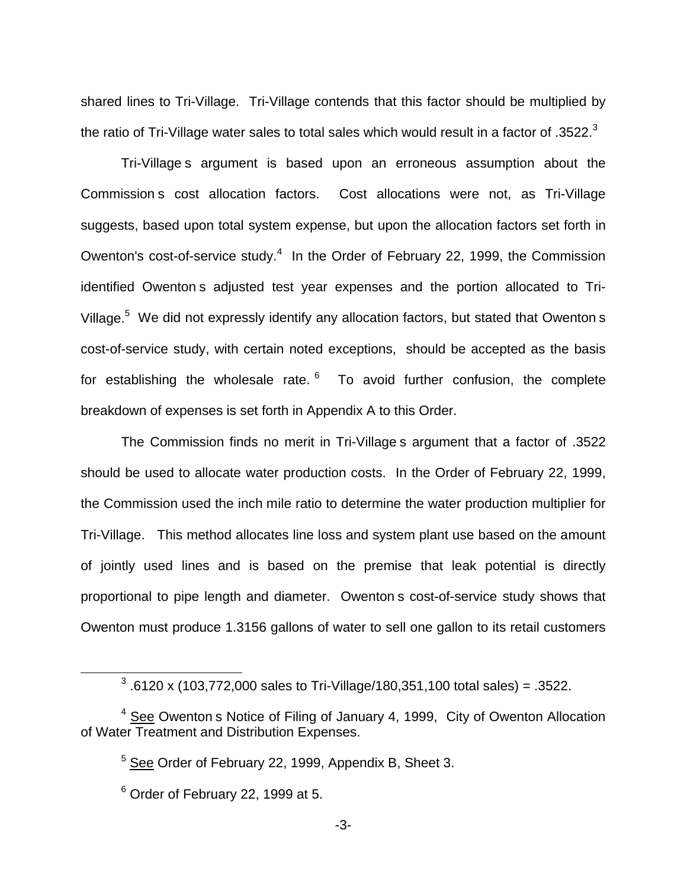shared lines to Tri-Village. Tri-Village contends that this factor should be multiplied by the ratio of Tri-Village water sales to total sales which would result in a factor of  $.3522<sup>3</sup>$ 

Tri-Village s argument is based upon an erroneous assumption about the Commission s cost allocation factors. Cost allocations were not, as Tri-Village suggests, based upon total system expense, but upon the allocation factors set forth in Owenton's cost-of-service study.<sup>4</sup> In the Order of February 22, 1999, the Commission identified Owenton s adjusted test year expenses and the portion allocated to Tri-Village.<sup>5</sup> We did not expressly identify any allocation factors, but stated that Owenton s cost-of-service study, with certain noted exceptions, should be accepted as the basis for establishing the wholesale rate.  $6\,$  To avoid further confusion, the complete breakdown of expenses is set forth in Appendix A to this Order.

The Commission finds no merit in Tri-Village s argument that a factor of .3522 should be used to allocate water production costs. In the Order of February 22, 1999, the Commission used the inch mile ratio to determine the water production multiplier for Tri-Village. This method allocates line loss and system plant use based on the amount of jointly used lines and is based on the premise that leak potential is directly proportional to pipe length and diameter. Owenton s cost-of-service study shows that Owenton must produce 1.3156 gallons of water to sell one gallon to its retail customers

 $3.6120 \times (103,772,000 \text{ sales to Tri-Village}/180,351,100 \text{ total sales}) = .3522.$ 

 $4$  See Owenton s Notice of Filing of January 4, 1999, City of Owenton Allocation of Water Treatment and Distribution Expenses.

<sup>5</sup> See Order of February 22, 1999, Appendix B, Sheet 3.

 $6$  Order of February 22, 1999 at 5.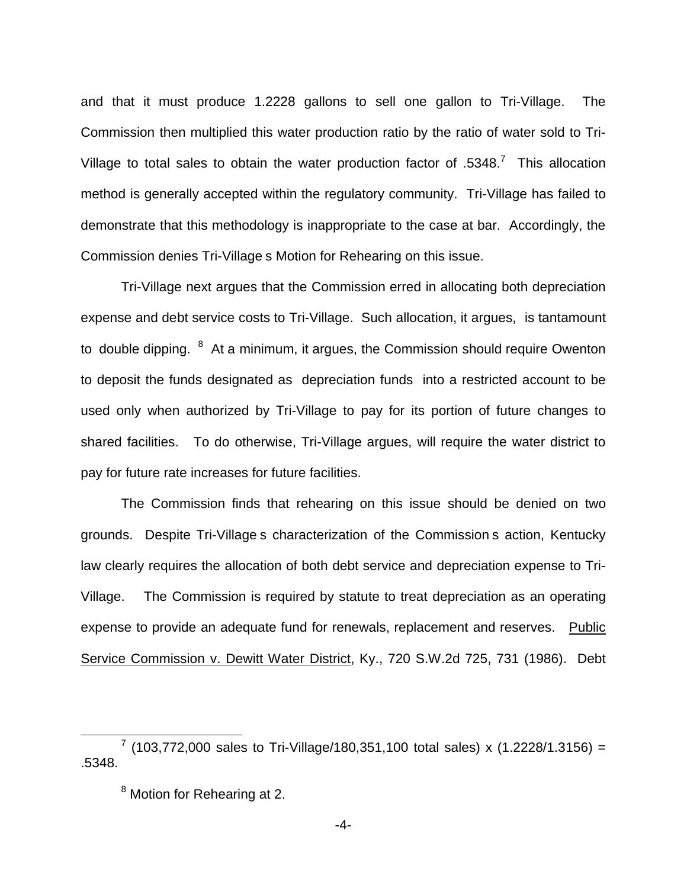and that it must produce 1.2228 gallons to sell one gallon to Tri-Village. The Commission then multiplied this water production ratio by the ratio of water sold to Tri-Village to total sales to obtain the water production factor of .5348.<sup>7</sup> This allocation method is generally accepted within the regulatory community. Tri-Village has failed to demonstrate that this methodology is inappropriate to the case at bar. Accordingly, the Commission denies Tri-Village s Motion for Rehearing on this issue.

Tri-Village next argues that the Commission erred in allocating both depreciation expense and debt service costs to Tri-Village. Such allocation, it argues, is tantamount to double dipping. <sup>8</sup> At a minimum, it argues, the Commission should require Owenton to deposit the funds designated as depreciation funds into a restricted account to be used only when authorized by Tri-Village to pay for its portion of future changes to shared facilities. To do otherwise, Tri-Village argues, will require the water district to pay for future rate increases for future facilities.

The Commission finds that rehearing on this issue should be denied on two grounds. Despite Tri-Village s characterization of the Commission s action, Kentucky law clearly requires the allocation of both debt service and depreciation expense to Tri-Village. The Commission is required by statute to treat depreciation as an operating expense to provide an adequate fund for renewals, replacement and reserves. Public Service Commission v. Dewitt Water District, Ky., 720 S.W.2d 725, 731 (1986). Debt

 $7$  (103,772,000 sales to Tri-Village/180,351,100 total sales) x (1.2228/1.3156) = .5348.

<sup>8</sup> Motion for Rehearing at 2.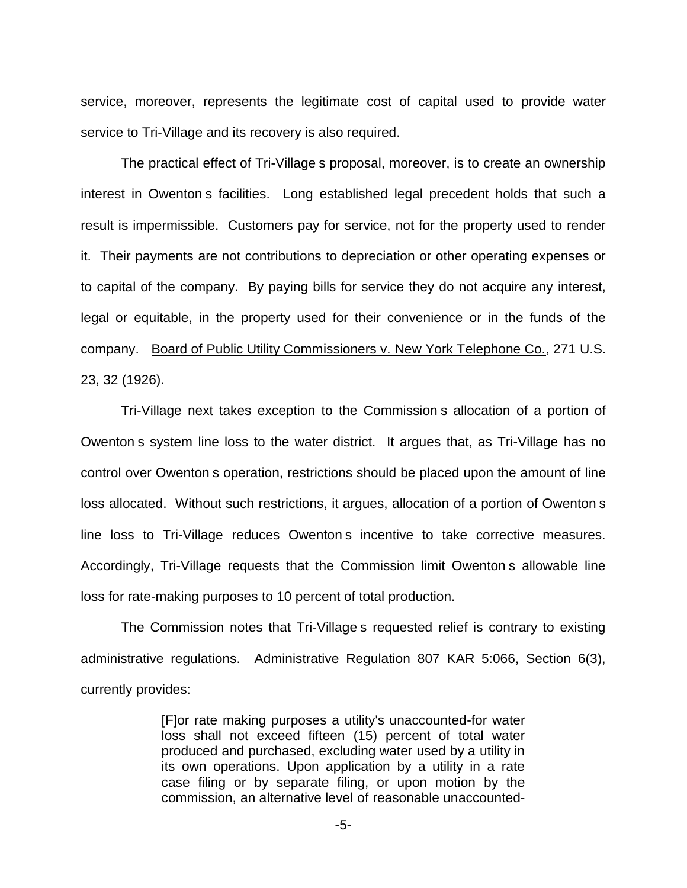service, moreover, represents the legitimate cost of capital used to provide water service to Tri-Village and its recovery is also required.

The practical effect of Tri-Village s proposal, moreover, is to create an ownership interest in Owenton s facilities. Long established legal precedent holds that such a result is impermissible. Customers pay for service, not for the property used to render it. Their payments are not contributions to depreciation or other operating expenses or to capital of the company. By paying bills for service they do not acquire any interest, legal or equitable, in the property used for their convenience or in the funds of the company. Board of Public Utility Commissioners v. New York Telephone Co., 271 U.S. 23, 32 (1926).

Tri-Village next takes exception to the Commission s allocation of a portion of Owenton s system line loss to the water district. It argues that, as Tri-Village has no control over Owenton s operation, restrictions should be placed upon the amount of line loss allocated. Without such restrictions, it argues, allocation of a portion of Owenton s line loss to Tri-Village reduces Owenton s incentive to take corrective measures. Accordingly, Tri-Village requests that the Commission limit Owenton s allowable line loss for rate-making purposes to 10 percent of total production.

The Commission notes that Tri-Village s requested relief is contrary to existing administrative regulations. Administrative Regulation 807 KAR 5:066, Section 6(3), currently provides:

> [F]or rate making purposes a utility's unaccounted-for water loss shall not exceed fifteen (15) percent of total water produced and purchased, excluding water used by a utility in its own operations. Upon application by a utility in a rate case filing or by separate filing, or upon motion by the commission, an alternative level of reasonable unaccounted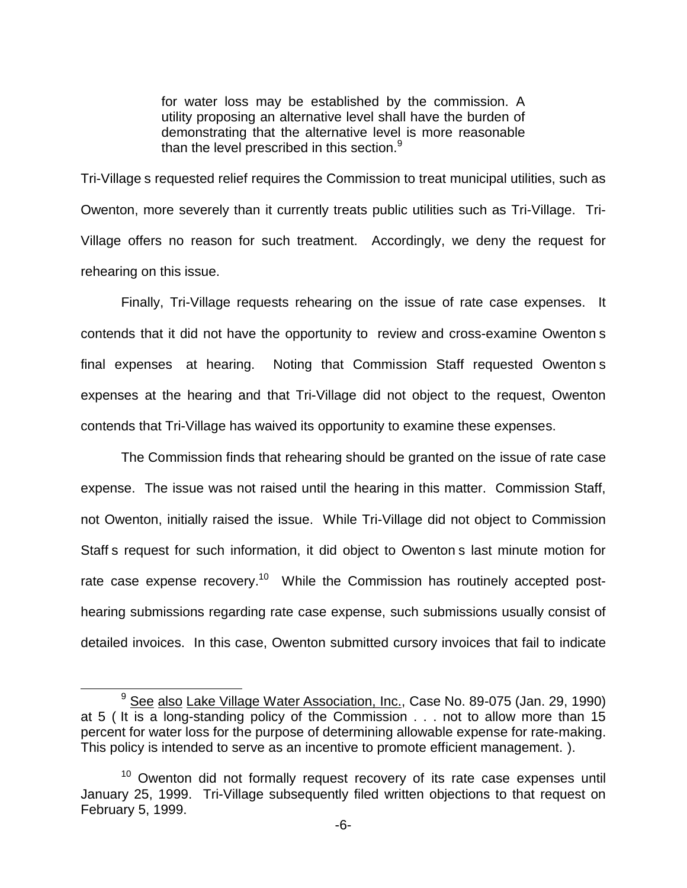for water loss may be established by the commission. A utility proposing an alternative level shall have the burden of demonstrating that the alternative level is more reasonable than the level prescribed in this section. $9$ 

Tri-Village s requested relief requires the Commission to treat municipal utilities, such as Owenton, more severely than it currently treats public utilities such as Tri-Village. Tri-Village offers no reason for such treatment. Accordingly, we deny the request for rehearing on this issue.

Finally, Tri-Village requests rehearing on the issue of rate case expenses. It contends that it did not have the opportunity to review and cross-examine Owenton s final expenses at hearing. Noting that Commission Staff requested Owenton s expenses at the hearing and that Tri-Village did not object to the request, Owenton contends that Tri-Village has waived its opportunity to examine these expenses.

The Commission finds that rehearing should be granted on the issue of rate case expense. The issue was not raised until the hearing in this matter. Commission Staff, not Owenton, initially raised the issue. While Tri-Village did not object to Commission Staff s request for such information, it did object to Owenton s last minute motion for rate case expense recovery.<sup>10</sup> While the Commission has routinely accepted posthearing submissions regarding rate case expense, such submissions usually consist of detailed invoices. In this case, Owenton submitted cursory invoices that fail to indicate

<sup>&</sup>lt;sup>9</sup> See also Lake Village Water Association, Inc., Case No. 89-075 (Jan. 29, 1990) at 5 ( It is a long-standing policy of the Commission . . . not to allow more than 15 percent for water loss for the purpose of determining allowable expense for rate-making. This policy is intended to serve as an incentive to promote efficient management. ).

 $10$  Owenton did not formally request recovery of its rate case expenses until January 25, 1999. Tri-Village subsequently filed written objections to that request on February 5, 1999.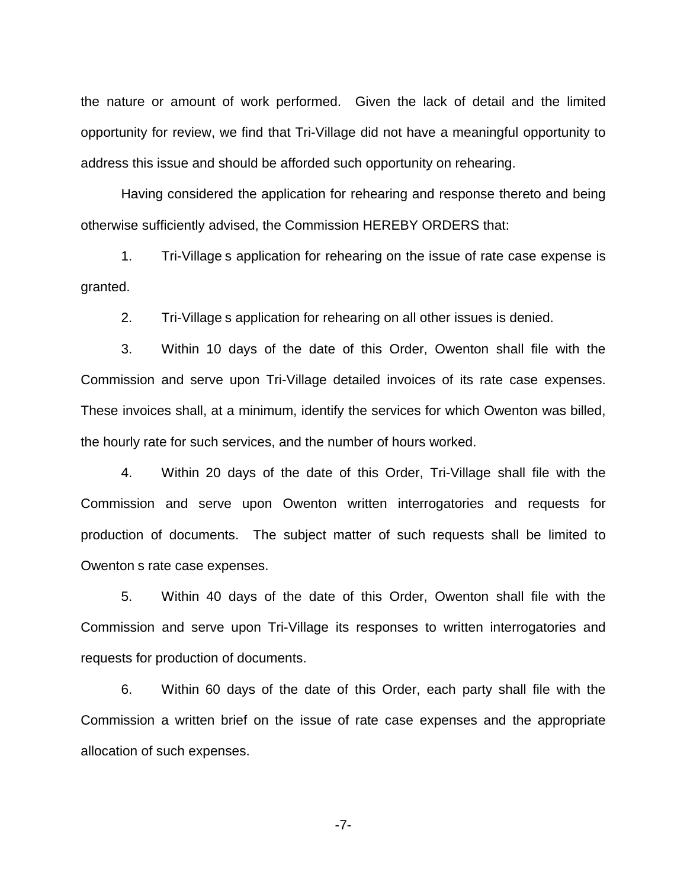the nature or amount of work performed. Given the lack of detail and the limited opportunity for review, we find that Tri-Village did not have a meaningful opportunity to address this issue and should be afforded such opportunity on rehearing.

Having considered the application for rehearing and response thereto and being otherwise sufficiently advised, the Commission HEREBY ORDERS that:

1. Tri-Village s application for rehearing on the issue of rate case expense is granted.

2. Tri-Village s application for rehearing on all other issues is denied.

3. Within 10 days of the date of this Order, Owenton shall file with the Commission and serve upon Tri-Village detailed invoices of its rate case expenses. These invoices shall, at a minimum, identify the services for which Owenton was billed, the hourly rate for such services, and the number of hours worked.

4. Within 20 days of the date of this Order, Tri-Village shall file with the Commission and serve upon Owenton written interrogatories and requests for production of documents. The subject matter of such requests shall be limited to Owenton s rate case expenses.

5. Within 40 days of the date of this Order, Owenton shall file with the Commission and serve upon Tri-Village its responses to written interrogatories and requests for production of documents.

6. Within 60 days of the date of this Order, each party shall file with the Commission a written brief on the issue of rate case expenses and the appropriate allocation of such expenses.

-7-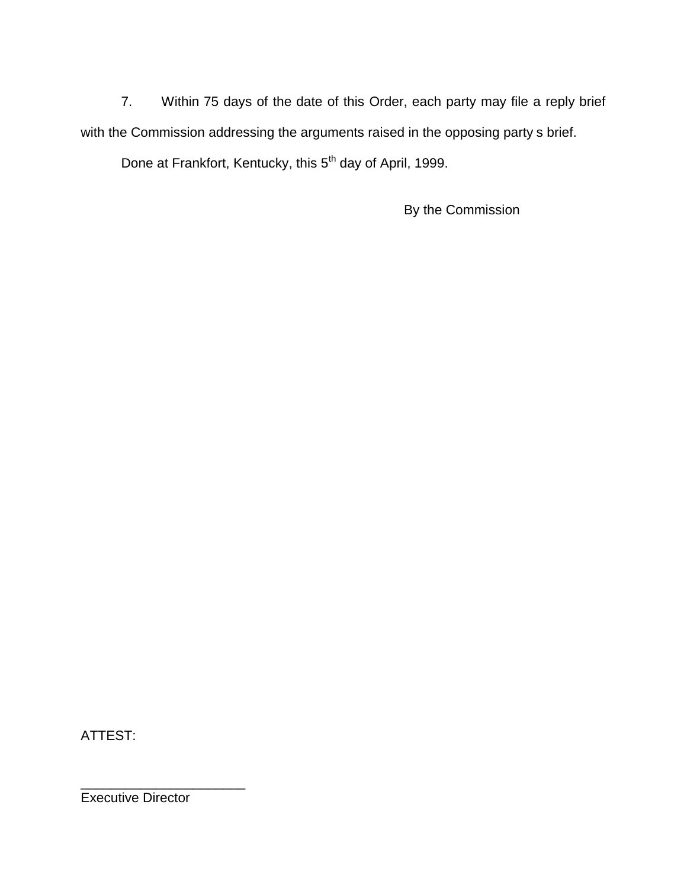7. Within 75 days of the date of this Order, each party may file a reply brief with the Commission addressing the arguments raised in the opposing party s brief. Done at Frankfort, Kentucky, this 5<sup>th</sup> day of April, 1999.

By the Commission

ATTEST:

Executive Director

\_\_\_\_\_\_\_\_\_\_\_\_\_\_\_\_\_\_\_\_\_\_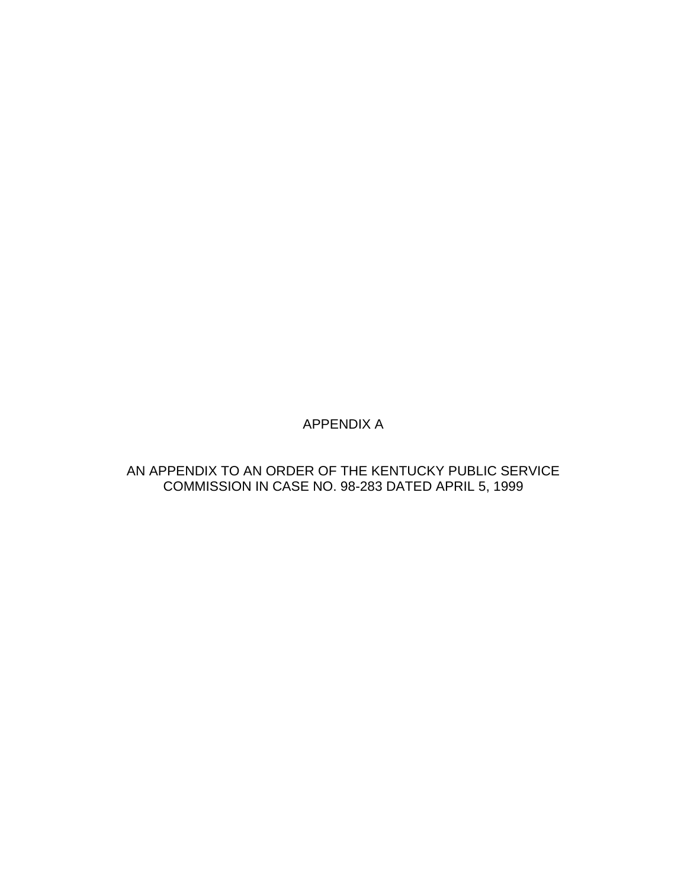# APPENDIX A

## AN APPENDIX TO AN ORDER OF THE KENTUCKY PUBLIC SERVICE COMMISSION IN CASE NO. 98-283 DATED APRIL 5, 1999